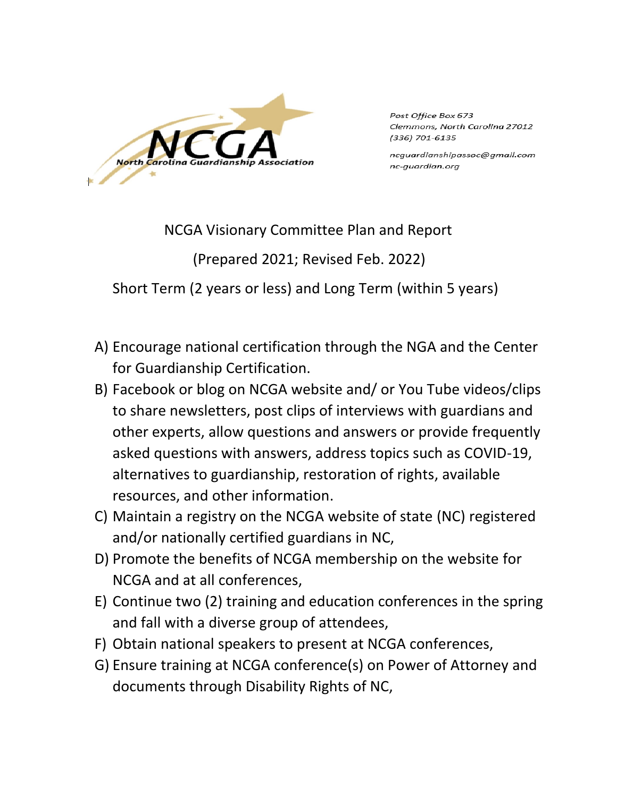**North** 

Post Office Box 673 Clemmons, North Carolina 27012 (336) 701-6135

ncguardianshipassoc@gmail.com nc-guardian.org

NCGA Visionary Committee Plan and Report

(Prepared 2021; Revised Feb. 2022)

Short Term (2 years or less) and Long Term (within 5 years)

- A) Encourage national certification through the NGA and the Center for Guardianship Certification.
- B) Facebook or blog on NCGA website and/ or You Tube videos/clips to share newsletters, post clips of interviews with guardians and other experts, allow questions and answers or provide frequently asked questions with answers, address topics such as COVID-19, alternatives to guardianship, restoration of rights, available resources, and other information.
- C) Maintain a registry on the NCGA website of state (NC) registered and/or nationally certified guardians in NC,
- D) Promote the benefits of NCGA membership on the website for NCGA and at all conferences,
- E) Continue two (2) training and education conferences in the spring and fall with a diverse group of attendees,
- F) Obtain national speakers to present at NCGA conferences,
- G) Ensure training at NCGA conference(s) on Power of Attorney and documents through Disability Rights of NC,